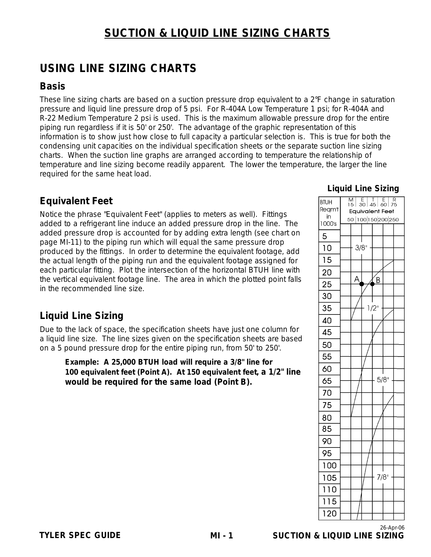# **SUCTION & LIQUID LINE SIZING CHARTS**

# **USING LINE SIZING CHARTS**

### **Basis**

These line sizing charts are based on a suction pressure drop equivalent to a 2°F change in saturation pressure and liquid line pressure drop of 5 psi. For R-404A Low Temperature 1 psi; for R-404A and R-22 Medium Temperature 2 psi is used. This is the maximum allowable pressure drop for the entire piping run regardless if it is 50' or 250'. The advantage of the graphic representation of this information is to show just how close to full capacity a particular selection is. This is true for both the condensing unit capacities on the individual specification sheets or the separate suction line sizing charts. When the suction line graphs are arranged according to temperature the relationship of temperature and line sizing become readily apparent. The lower the temperature, the larger the line required for the same heat load.

### **Equivalent Feet**

Notice the phrase "Equivalent Feet" (applies to meters as well). Fittings added to a refrigerant line induce an added pressure drop in the line. The added pressure drop is accounted for by adding extra length (see chart on page MI-11) to the piping run which will equal the same pressure drop produced by the fittings. In order to determine the equivalent footage, add the actual length of the piping run and the equivalent footage assigned for each particular fitting. Plot the intersection of the horizontal BTUH line with the vertical equivalent footage line. The area in which the plotted point falls in the recommended line size.

### **Liquid Line Sizing**

Due to the lack of space, the specification sheets have just one column for a liquid line size. The line sizes given on the specification sheets are based on a 5 pound pressure drop for the entire piping run, from 50' to 250'.

**Example: A 25,000 BTUH load will require a 3/8" line for 100 equivalent feet (Point A). At 150 equivalent feet, a 1/2" line would be required for the same load (Point B).**

#### **Liquid Line Sizing**

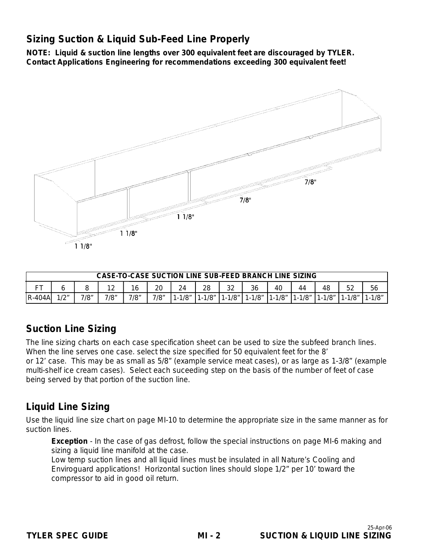### **Sizing Suction & Liquid Sub-Feed Line Properly**

**NOTE: Liquid & suction line lengths over 300 equivalent feet are discouraged by TYLER. Contact Applications Engineering for recommendations exceeding 300 equivalent feet!**



|               | <b>CASE-TO-CASE SUCTION LINE SUB-FEED BRANCH LINE SIZING</b>                                   |      |      |      |      |         |         |         |            |            |            |             |             |       |
|---------------|------------------------------------------------------------------------------------------------|------|------|------|------|---------|---------|---------|------------|------------|------------|-------------|-------------|-------|
| mт.           | $\Gamma$<br>56<br>າາ<br>28<br>48<br>20<br>$1^{\circ}$<br>36<br>40<br>24<br>16<br>44<br>∠ت<br>▵ |      |      |      |      |         |         |         |            |            |            |             |             |       |
| <b>R-404A</b> | 12 <sub>II</sub>                                                                               | 7/8″ | 7/8" | 7/8″ | 7/8" | $-1/8"$ | $-1/8"$ | $-1/8"$ | $1 - 1/8"$ | $1 - 1/8"$ | $1 - 1/8"$ | $11 - 1/8"$ | $1 - 1/8$ " | -1/8″ |

### **Suction Line Sizing**

The line sizing charts on each case specification sheet can be used to size the subfeed branch lines. When the line serves one case. select the size specified for 50 equivalent feet for the 8' or 12' case. This may be as small as 5/8" (example service meat cases), or as large as 1-3/8" (example multi-shelf ice cream cases). Select each suceeding step on the basis of the number of feet of case being served by that portion of the suction line.

### **Liquid Line Sizing**

Use the liquid line size chart on page MI-10 to determine the appropriate size in the same manner as for suction lines.

**Exception** - In the case of gas defrost, follow the special instructions on page MI-6 making and sizing a liquid line manifold at the case.

Low temp suction lines and all liquid lines must be insulated in all Nature's Cooling and Enviroguard applications! Horizontal suction lines should slope 1/2" per 10' toward the compressor to aid in good oil return.

**MI - 2**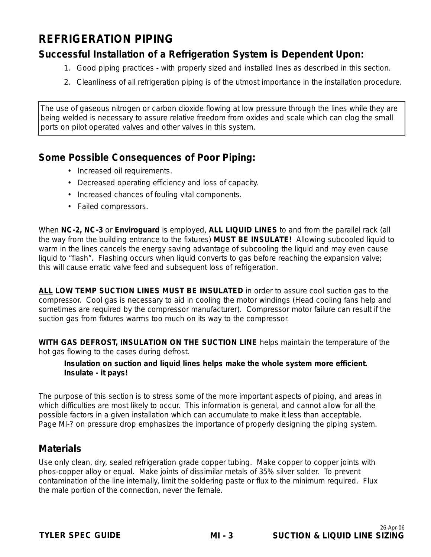# **REFRIGERATION PIPING**

### **Successful Installation of a Refrigeration System is Dependent Upon:**

- 1. Good piping practices with properly sized and installed lines as described in this section.
- 2. Cleanliness of all refrigeration piping is of the utmost importance in the installation procedure.

The use of gaseous nitrogen or carbon dioxide flowing at low pressure through the lines while they are being welded is necessary to assure relative freedom from oxides and scale which can clog the small ports on pilot operated valves and other valves in this system.

### **Some Possible Consequences of Poor Piping:**

- Increased oil requirements.
- Decreased operating efficiency and loss of capacity.
- Increased chances of fouling vital components.
- Failed compressors.

When **NC-2, NC-3** or **Enviroguard** is employed, **ALL LIQUID LINES** to and from the parallel rack (all the way from the building entrance to the fixtures) **MUST BE INSULATE!** Allowing subcooled liquid to warm in the lines cancels the energy saving advantage of subcooling the liquid and may even cause liquid to "flash". Flashing occurs when liquid converts to gas before reaching the expansion valve; this will cause erratic valve feed and subsequent loss of refrigeration.

**ALL LOW TEMP SUCTION LINES MUST BE INSULATED** in order to assure cool suction gas to the compressor. Cool gas is necessary to aid in cooling the motor windings (Head cooling fans help and sometimes are required by the compressor manufacturer). Compressor motor failure can result if the suction gas from fixtures warms too much on its way to the compressor.

**WITH GAS DEFROST, INSULATION ON THE SUCTION LINE** helps maintain the temperature of the hot gas flowing to the cases during defrost.

#### **Insulation on suction and liquid lines helps make the whole system more efficient. Insulate - it pays!**

The purpose of this section is to stress some of the more important aspects of piping, and areas in which difficulties are most likely to occur. This information is general, and cannot allow for all the possible factors in a given installation which can accumulate to make it less than acceptable. Page MI-? on pressure drop emphasizes the importance of properly designing the piping system.

### **Materials**

Use only clean, dry, sealed refrigeration grade copper tubing. Make copper to copper joints with phos-copper alloy or equal. Make joints of dissimilar metals of 35% silver solder. To prevent contamination of the line internally, limit the soldering paste or flux to the minimum required. Flux the male portion of the connection, never the female.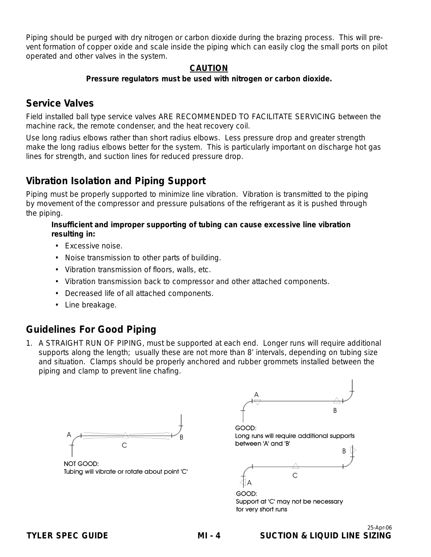Piping should be purged with dry nitrogen or carbon dioxide during the brazing process. This will prevent formation of copper oxide and scale inside the piping which can easily clog the small ports on pilot operated and other valves in the system.

#### **CAUTION**

#### **Pressure regulators must be used with nitrogen or carbon dioxide.**

### **Service Valves**

Field installed ball type service valves ARE RECOMMENDED TO FACILITATE SERVICING between the machine rack, the remote condenser, and the heat recovery coil.

Use long radius elbows rather than short radius elbows. Less pressure drop and greater strength make the long radius elbows better for the system. This is particularly important on discharge hot gas lines for strength, and suction lines for reduced pressure drop.

### **Vibration Isolation and Piping Support**

Piping must be properly supported to minimize line vibration. Vibration is transmitted to the piping by movement of the compressor and pressure pulsations of the refrigerant as it is pushed through the piping.

#### **Insufficient and improper supporting of tubing can cause excessive line vibration resulting in:**

- Excessive noise.
- Noise transmission to other parts of building.
- Vibration transmission of floors, walls, etc.
- Vibration transmission back to compressor and other attached components.
- Decreased life of all attached components.
- Line breakage.

### **Guidelines For Good Piping**

1. A STRAIGHT RUN OF PIPING, must be supported at each end. Longer runs will require additional supports along the length; usually these are not more than 8' intervals, depending on tubing size and situation. Clamps should be properly anchored and rubber grommets installed between the piping and clamp to prevent line chafing.



NOT GOOD: Tubing will vibrate or rotate about point 'C'

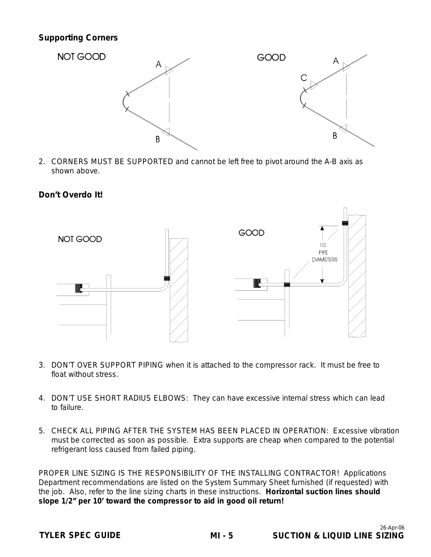#### **Supporting Corners**



2. CORNERS MUST BE SUPPORTED and cannot be left free to pivot around the A-B axis as shown above.

#### **Don't Overdo It!**



- 3. DON'T OVER SUPPORT PIPING when it is attached to the compressor rack. It must be free to float without stress.
- 4. DON'T USE SHORT RADIUS ELBOWS: They can have excessive internal stress which can lead to failure.
- 5. CHECK ALL PIPING AFTER THE SYSTEM HAS BEEN PLACED IN OPERATION: Excessive vibration must be corrected as soon as possible. Extra supports are cheap when compared to the potential refrigerant loss caused from failed piping.

PROPER LINE SIZING IS THE RESPONSIBILITY OF THE INSTALLING CONTRACTOR! Applications Department recommendations are listed on the System Summary Sheet furnished (if requested) with the job. Also, refer to the line sizing charts in these instructions. **Horizontal suction lines should slope 1/2" per 10' toward the compressor to aid in good oil return!**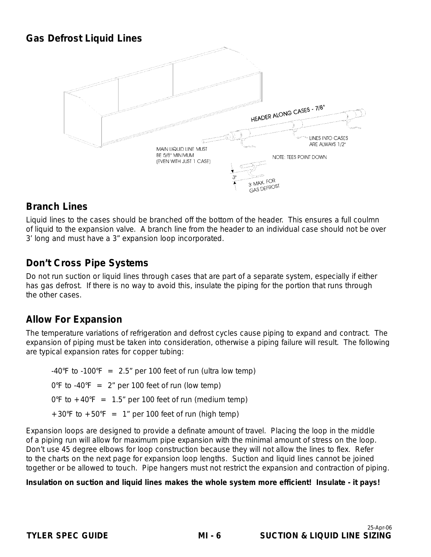### **Gas Defrost Liquid Lines**



### **Branch Lines**

Liquid lines to the cases should be branched off the bottom of the header. This ensures a full coulmn of liquid to the expansion valve. A branch line from the header to an individual case should not be over 3' long and must have a 3" expansion loop incorporated.

### **Don't Cross Pipe Systems**

Do not run suction or liquid lines through cases that are part of a separate system, especially if either has gas defrost. If there is no way to avoid this, insulate the piping for the portion that runs through the other cases.

### **Allow For Expansion**

The temperature variations of refrigeration and defrost cycles cause piping to expand and contract. The expansion of piping must be taken into consideration, otherwise a piping failure will result. The following are typical expansion rates for copper tubing:

 $-40^{\circ}$ F to  $-100^{\circ}$ F = 2.5" per 100 feet of run (ultra low temp)  $0^{\circ}$ F to -40 $^{\circ}$ F = 2" per 100 feet of run (low temp)  $0^{\circ}$ F to  $+40^{\circ}$ F = 1.5" per 100 feet of run (medium temp)  $+30^{\circ}$ F to  $+50^{\circ}$ F = 1" per 100 feet of run (high temp)

Expansion loops are designed to provide a definate amount of travel. Placing the loop in the middle of a piping run will allow for maximum pipe expansion with the minimal amount of stress on the loop. Don't use 45 degree elbows for loop construction because they will not allow the lines to flex. Refer to the charts on the next page for expansion loop lengths. Suction and liquid lines cannot be joined together or be allowed to touch. Pipe hangers must not restrict the expansion and contraction of piping.

#### **Insulation on suction and liquid lines makes the whole system more efficient! Insulate - it pays!**

**MI - 6**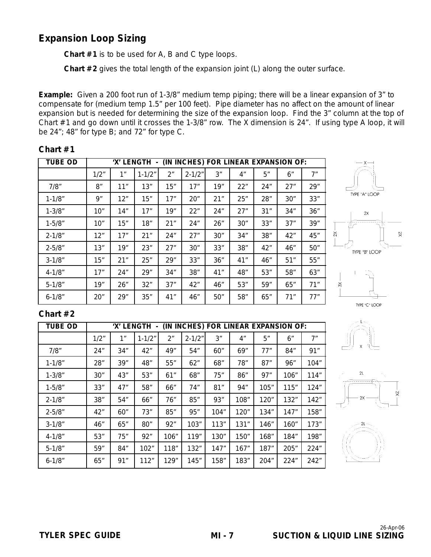### **Expansion Loop Sizing**

**Chart #1** is to be used for A, B and C type loops.

**Chart #2** gives the total length of the expansion joint (L) along the outer surface.

**Example:** Given a 200 foot run of 1-3/8" medium temp piping; there will be a linear expansion of 3" to compensate for (medium temp 1.5" per 100 feet). Pipe diameter has no affect on the amount of linear expansion but is needed for determining the size of the expansion loop. Find the 3" column at the top of Chart #1 and go down until it crosses the 1-3/8" row. The X dimension is 24". If using type A loop, it will be 24"; 48" for type B; and 72" for type C.

| <b>TUBE OD</b> |      |     | 'X' LENGTH - |     |            |     |     |     | (IN INCHES) FOR LINEAR EXPANSION OF: |     |
|----------------|------|-----|--------------|-----|------------|-----|-----|-----|--------------------------------------|-----|
|                | 1/2" | 1"  | $1 - 1/2"$   | 2"  | $2 - 1/2"$ | 3"  | 4"  | 5"  | 6"                                   | 7"  |
| 7/8"           | 8″   | 11" | 13"          | 15" | 17"        | 19" | 22" | 24" | 27"                                  | 29" |
| $1 - 1/8"$     | 9"   | 12" | 15"          | 17" | 20"        | 21" | 25" | 28" | 30"                                  | 33" |
| $1 - 3/8"$     | 10"  | 14" | 17"          | 19" | 22"        | 24" | 27" | 31" | 34"                                  | 36" |
| $1 - 5/8"$     | 10"  | 15" | 18"          | 21" | 24"        | 26" | 30" | 33" | 37"                                  | 39" |
| $2 - 1/8"$     | 12"  | 17" | 21"          | 24" | 27"        | 30" | 34" | 38" | 42"                                  | 45" |
| $2 - 5/8$ "    | 13"  | 19" | 23"          | 27" | 30"        | 33" | 38" | 42" | 46"                                  | 50" |
| $3 - 1/8$ "    | 15"  | 21" | 25"          | 29" | 33"        | 36" | 41" | 46" | 51"                                  | 55" |
| $4 - 1/8$ "    | 17"  | 24" | 29"          | 34" | 38"        | 41" | 48" | 53" | 58"                                  | 63" |
| $5 - 1/8$ "    | 19"  | 26" | 32"          | 37" | 42"        | 46" | 53" | 59" | 65"                                  | 71" |
| $6 - 1/8$ "    | 20"  | 29" | 35"          | 41" | 46"        | 50" | 58" | 65" | 71"                                  | 77" |

#### **Chart #1**



TYPE "A" LOOP

 $2x$ 

TYPE "B" LOOP

 $\times$ 

 $\stackrel{\times}{\sim}$ 

 $\frac{1}{20}$ 

#### **Chart #2**

| Tube od     |      |     | 'X' LENGTH - |      |            | (IN INCHES) FOR LINEAR EXPANSION OF: |      |      |      |      |
|-------------|------|-----|--------------|------|------------|--------------------------------------|------|------|------|------|
|             | 1/2" | 1"  | $1 - 1/2"$   | 2"   | $2 - 1/2"$ | 3"                                   | 4"   | 5"   | 6"   | 7"   |
| 7/8"        | 24"  | 34" | 42"          | 49"  | 54"        | 60"                                  | 69"  | 77"  | 84"  | 91"  |
| $1 - 1/8$ " | 28"  | 39" | 48"          | 55"  | 62"        | 68"                                  | 78"  | 87"  | 96"  | 104" |
| $1 - 3/8"$  | 30"  | 43" | 53"          | 61"  | 68"        | 75"                                  | 86"  | 97"  | 106" | 114" |
| $1 - 5/8$ " | 33"  | 47" | 58"          | 66"  | 74"        | 81"                                  | 94"  | 105" | 115" | 124" |
| $2 - 1/8"$  | 38"  | 54" | 66"          | 76"  | 85"        | 93"                                  | 108" | 120" | 132" | 142" |
| $2 - 5/8$ " | 42"  | 60" | 73"          | 85"  | 95"        | 104"                                 | 120" | 134" | 147" | 158" |
| $3 - 1/8$ " | 46"  | 65" | 80"          | 92"  | 103"       | 113"                                 | 131" | 146" | 160" | 173" |
| $4 - 1/8$ " | 53"  | 75" | 92"          | 106" | 119"       | 130"                                 | 150" | 168" | 184" | 198" |
| $5 - 1/8$ " | 59"  | 84" | 102"         | 118" | 132"       | 147"                                 | 167" | 187" | 205" | 224" |
| $6 - 1/8$ " | 65"  | 91" | 112"         | 129" | 145"       | 158"                                 | 183" | 204" | 224" | 242" |





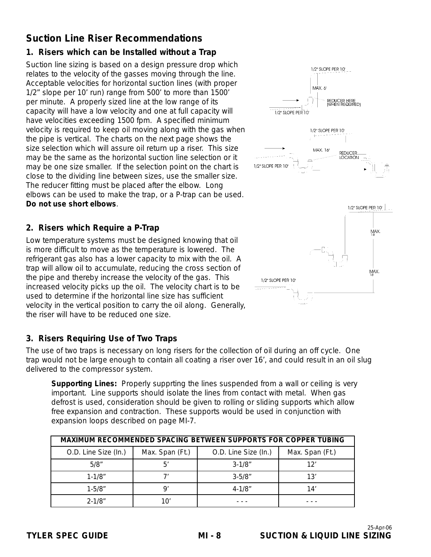### **Suction Line Riser Recommendations**

### **1. Risers which can be Installed without a Trap**

Suction line sizing is based on a design pressure drop which relates to the velocity of the gasses moving through the line. Acceptable velocities for horizontal suction lines (with proper 1/2" slope per 10' run) range from 500' to more than 1500' per minute. A properly sized line at the low range of its capacity will have a low velocity and one at full capacity will have velocities exceeding 1500 fpm. A specified minimum velocity is required to keep oil moving along with the gas when the pipe is vertical. The charts on the next page shows the size selection which will assure oil return up a riser. This size may be the same as the horizontal suction line selection or it may be one size smaller. If the selection point on the chart is close to the dividing line between sizes, use the smaller size. The reducer fitting must be placed after the elbow. Long elbows can be used to make the trap, or a P-trap can be used. **Do not use short elbows**.

#### **2. Risers which Require a P-Trap**

Low temperature systems must be designed knowing that oil is more difficult to move as the temperature is lowered. The refrigerant gas also has a lower capacity to mix with the oil. A trap will allow oil to accumulate, reducing the cross section of the pipe and thereby increase the velocity of the gas. This increased velocity picks up the oil. The velocity chart is to be used to determine if the horizontal line size has sufficient velocity in the vertical position to carry the oil along. Generally, the riser will have to be reduced one size.

#### **3. Risers Requiring Use of Two Traps**

The use of two traps is necessary on long risers for the collection of oil during an off cycle. One trap would not be large enough to contain all coating a riser over 16', and could result in an oil slug delivered to the compressor system.

**Supporting Lines:** Properly supprting the lines suspended from a wall or ceiling is very important. Line supports should isolate the lines from contact with metal. When gas defrost is used, consideration should be given to rolling or sliding supports which allow free expansion and contraction. These supports would be used in conjunction with expansion loops described on page MI-7.

|                      | MAXIMUM RECOMMENDED SPACING BETWEEN SUPPORTS FOR COPPER TUBING |                      |                 |  |  |  |  |  |  |  |  |
|----------------------|----------------------------------------------------------------|----------------------|-----------------|--|--|--|--|--|--|--|--|
| O.D. Line Size (In.) | Max. Span (Ft.)                                                | O.D. Line Size (In.) | Max. Span (Ft.) |  |  |  |  |  |  |  |  |
| 5/8"                 | 5'                                                             | $3 - 1/8$ "          | 12'             |  |  |  |  |  |  |  |  |
| $1 - 1/8"$           |                                                                | $3 - 5/8$ "          | 13'             |  |  |  |  |  |  |  |  |
| $1 - 5/8"$           | o                                                              | $4 - 1/8$ "          | 14'             |  |  |  |  |  |  |  |  |
| $2 - 1/8"$           | 10′                                                            |                      |                 |  |  |  |  |  |  |  |  |

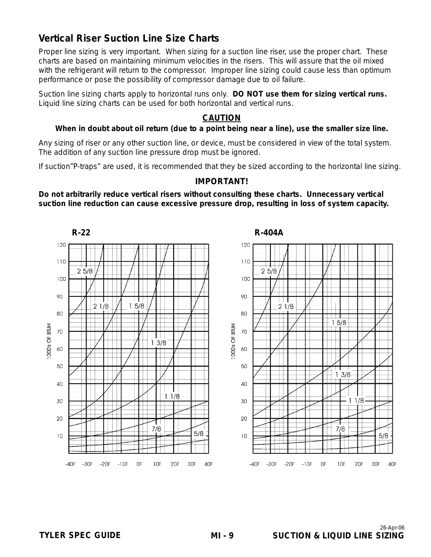### **Vertical Riser Suction Line Size Charts**

Proper line sizing is very important. When sizing for a suction line riser, use the proper chart. These charts are based on maintaining minimum velocities in the risers. This will assure that the oil mixed with the refrigerant will return to the compressor. Improper line sizing could cause less than optimum performance or pose the possibility of compressor damage due to oil failure.

Suction line sizing charts apply to horizontal runs only. **DO NOT use them for sizing vertical runs.** Liquid line sizing charts can be used for both horizontal and vertical runs.

#### **CAUTION**

#### **When in doubt about oil return (due to a point being near a line), use the smaller size line.**

Any sizing of riser or any other suction line, or device, must be considered in view of the total system. The addition of any suction line pressure drop must be ignored.

If suction"P-traps" are used, it is recommended that they be sized according to the horizontal line sizing.

#### **IMPORTANT!**

**Do not arbitrarily reduce vertical risers without consulting these charts. Unnecessary vertical suction line reduction can cause excessive pressure drop, resulting in loss of system capacity.**

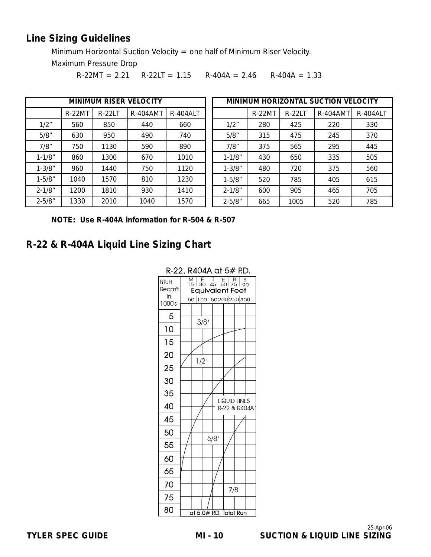### **Line Sizing Guidelines**

Minimum Horizontal Suction Velocity = one half of Minimum Riser Velocity.

Maximum Pressure Drop

 $R-22MT = 2.21$   $R-22LT = 1.15$   $R-404A = 2.46$   $R-404A = 1.33$ 

|            |               |               | <b>MINIMUM RISER VELOCITY</b> |                 |             |               |               | MINIMUM HORIZONTAL SUCTION VELOCITY |                 |
|------------|---------------|---------------|-------------------------------|-----------------|-------------|---------------|---------------|-------------------------------------|-----------------|
|            | <b>R-22MT</b> | <b>R-22LT</b> | <b>R-404AMT</b>               | <b>R-404ALT</b> |             | <b>R-22MT</b> | <b>R-22LT</b> | <b>R-404AMT</b>                     | <b>R-404ALT</b> |
| 1/2"       | 560           | 850           | 440                           | 660             | 1/2"        | 280           | 425           | 220                                 | 330             |
| 5/8"       | 630           | 950           | 490                           | 740             | 5/8"        | 315           | 475           | 245                                 | 370             |
| 7/8"       | 750           | 1130          | 590                           | 890             | 7/8"        | 375           | 565           | 295                                 | 445             |
| $1 - 1/8"$ | 860           | 1300          | 670                           | 1010            | $1 - 1/8$ " | 430           | 650           | 335                                 | 505             |
| $1 - 3/8"$ | 960           | 1440          | 750                           | 1120            | $1 - 3/8"$  | 480           | 720           | 375                                 | 560             |
| $1 - 5/8"$ | 1040          | 1570          | 810                           | 1230            | $1 - 5/8$ " | 520           | 785           | 405                                 | 615             |
| $2 - 1/8"$ | 1200          | 1810          | 930                           | 1410            | $2 - 1/8"$  | 600           | 905           | 465                                 | 705             |
| $2 - 5/8"$ | 1330          | 2010          | 1040                          | 1570            | $2 - 5/8"$  | 665           | 1005          | 520                                 | 785             |

**NOTE: Use R-404A information for R-504 & R-507**

### **R-22 & R-404A Liquid Line Sizing Chart**



#### R-22, R404A at 5# P.D.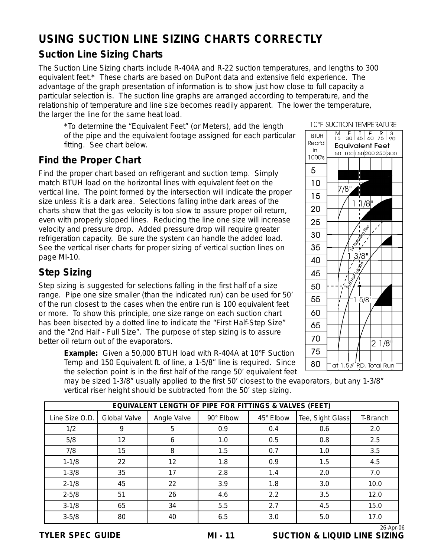# **USING SUCTION LINE SIZING CHARTS CORRECTLY**

### **Suction Line Sizing Charts**

The Suction Line Sizing charts include R-404A and R-22 suction temperatures, and lengths to 300 equivalent feet.\* These charts are based on DuPont data and extensive field experience. The advantage of the graph presentation of information is to show just how close to full capacity a particular selection is. The suction line graphs are arranged according to temperature, and the relationship of temperature and line size becomes readily apparent. The lower the temperature, the larger the line for the same heat load.

\*To determine the "Equivalent Feet" (or Meters), add the length of the pipe and the equivalent footage assigned for each particular fitting. See chart below.

### **Find the Proper Chart**

Find the proper chart based on refrigerant and suction temp. Simply match BTUH load on the horizontal lines with equivalent feet on the vertical line. The point formed by the intersection will indicate the proper size unless it is a dark area. Selections falling inthe dark areas of the charts show that the gas velocity is too slow to assure proper oil return, even with properly sloped lines. Reducing the line one size will increase velocity and pressure drop. Added pressure drop will require greater refrigeration capacity. Be sure the system can handle the added load. See the vertical riser charts for proper sizing of vertical suction lines on page MI-10.

### **Step Sizing**

Step sizing is suggested for selections falling in the first half of a size range. Pipe one size smaller (than the indicated run) can be used for 50' of the run closest to the cases when the entire run is 100 equivalent feet or more. To show this principle, one size range on each suction chart has been bisected by a dotted line to indicate the "First Half-Step Size" and the "2nd Half - Full Size". The purpose of step sizing is to assure better oil return out of the evaporators.

**Example:** Given a 50,000 BTUH load with R-404A at 10°F Suction Temp and 150 Equivalent ft. of line, a 1-5/8" line is required. Since the selection point is in the first half of the range 50' equivalent feet



**10°F SUCTION TEMPERATURE** 

may be sized 1-3/8" usually applied to the first 50' closest to the evaporators, but any 1-3/8" vertical riser height should be subtracted from the 50' step sizing.

|                | EQUIVALENT LENGTH OF PIPE FOR FITTINGS & VALVES (FEET) |             |           |           |                  |          |  |  |  |  |  |  |
|----------------|--------------------------------------------------------|-------------|-----------|-----------|------------------|----------|--|--|--|--|--|--|
| Line Size O.D. | <b>Global Valve</b>                                    | Angle Valve | 90° Elbow | 45° Elbow | Tee, Sight Glass | T-Branch |  |  |  |  |  |  |
| 1/2            | 9                                                      | 5           | 0.9       | 0.4       | 0.6              | 2.0      |  |  |  |  |  |  |
| 5/8            | 12                                                     | 6           | 1.0       | 0.5       | 0.8              | 2.5      |  |  |  |  |  |  |
| 7/8            | 15                                                     | 8           | 1.5       | 0.7       | 1.0              | 3.5      |  |  |  |  |  |  |
| $1 - 1/8$      | 22                                                     | 12          | 1.8       | 0.9       | 1.5              | 4.5      |  |  |  |  |  |  |
| $1 - 3/8$      | 35                                                     | 17          | 2.8       | 1.4       | 2.0              | 7.0      |  |  |  |  |  |  |
| $2 - 1/8$      | 45                                                     | 22          | 3.9       | 1.8       | 3.0              | 10.0     |  |  |  |  |  |  |
| $2 - 5/8$      | 51                                                     | 26          | 4.6       | 2.2       | 3.5              | 12.0     |  |  |  |  |  |  |
| $3 - 1/8$      | 65                                                     | 34          | 5.5       | 2.7       | 4.5              | 15.0     |  |  |  |  |  |  |
| $3 - 5/8$      | 80                                                     | 40          | 6.5       | 3.0       | 5.0              | 17.0     |  |  |  |  |  |  |

26-Apr-06 **TYLER SPEC GUIDE SUCTION & LIQUID LINE SIZING**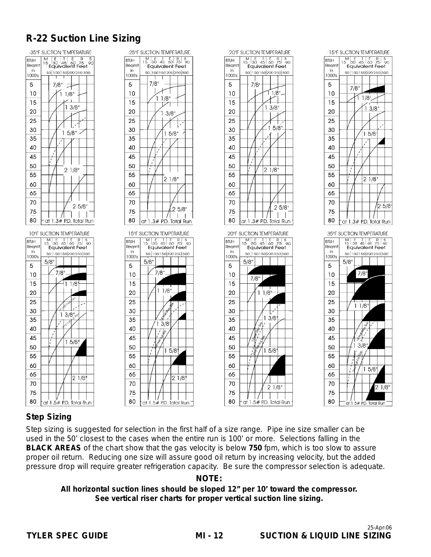# **R-22 Suction Line Sizing**









### **Step Sizing**

Step sizing is suggested for selection in the first half of a size range. Pipe ine size smaller can be used in the 50' closest to the cases when the entire run is 100' or more. Selections falling in the **BLACK AREAS** of the chart show that the gas velocity is below **750** fpm, which is too slow to assure proper oil return. Reducing one size will assure good oil return by increasing velocity, but the added pressure drop will require greater refrigeration capacity. Be sure the compressor selection is adequate.

 $21/8$ 

at 1.5# P.D. Total Run -

70

75

80

#### **NOTE:**

**All horizontal suction lines should be sloped 12" per 10' toward the compressor. See vertical riser charts for proper vertical suction line sizing.**

**MI - 12**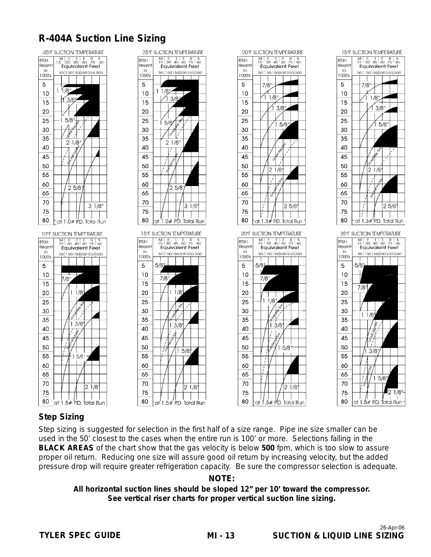## **R-404A Suction Line Sizing**





 $3/8$ 

 $15/8$ 

 $2\overline{1/8}$ 

 $\hat{1}$  3/8

 $15/8$ 

 $21/8$ 

 $25/8$ 



#### **Step Sizing**

Step sizing is suggested for selection in the first half of a size range. Pipe ine size smaller can be used in the 50' closest to the cases when the entire run is 100' or more. Selections falling in the **BLACK AREAS** of the chart show that the gas velocity is below **500** fpm, which is too slow to assure proper oil return. Reducing one size will assure good oil return by increasing velocity, but the added pressure drop will require greater refrigeration capacity. Be sure the compressor selection is adequate.

#### **NOTE:**

**All horizontal suction lines should be sloped 12" per 10' toward the compressor. See vertical riser charts for proper vertical suction line sizing.**

**MI - 13**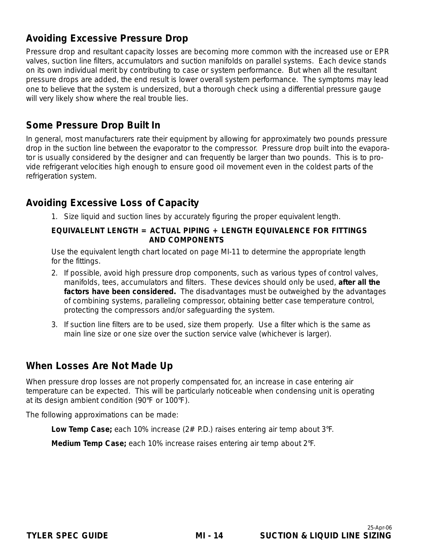### **Avoiding Excessive Pressure Drop**

Pressure drop and resultant capacity losses are becoming more common with the increased use or EPR valves, suction line filters, accumulators and suction manifolds on parallel systems. Each device stands on its own individual merit by contributing to case or system performance. But when all the resultant pressure drops are added, the end result is lower overall system performance. The symptoms may lead one to believe that the system is undersized, but a thorough check using a differential pressure gauge will very likely show where the real trouble lies.

### **Some Pressure Drop Built In**

In general, most manufacturers rate their equipment by allowing for approximately two pounds pressure drop in the suction line between the evaporator to the compressor. Pressure drop built into the evaporator is usually considered by the designer and can frequently be larger than two pounds. This is to provide refrigerant velocities high enough to ensure good oil movement even in the coldest parts of the refrigeration system.

### **Avoiding Excessive Loss of Capacity**

1. Size liquid and suction lines by accurately figuring the proper equivalent length.

#### **EQUIVALELNT LENGTH = ACTUAL PIPING + LENGTH EQUIVALENCE FOR FITTINGS AND COMPONENTS**

Use the equivalent length chart located on page MI-11 to determine the appropriate length for the fittings.

- 2. If possible, avoid high pressure drop components, such as various types of control valves, manifolds, tees, accumulators and filters. These devices should only be used, **after all the factors have been considered.** The disadvantages must be outweighed by the advantages of combining systems, paralleling compressor, obtaining better case temperature control, protecting the compressors and/or safeguarding the system.
- 3. If suction line filters are to be used, size them properly. Use a filter which is the same as main line size or one size over the suction service valve (whichever is larger).

### **When Losses Are Not Made Up**

When pressure drop losses are not properly compensated for, an increase in case entering air temperature can be expected. This will be particularly noticeable when condensing unit is operating at its design ambient condition (90°F or 100°F).

The following approximations can be made:

**Low Temp Case;** each 10% increase (2# P.D.) raises entering air temp about 3°F.

**Medium Temp Case;** each 10% increase raises entering air temp about 2°F.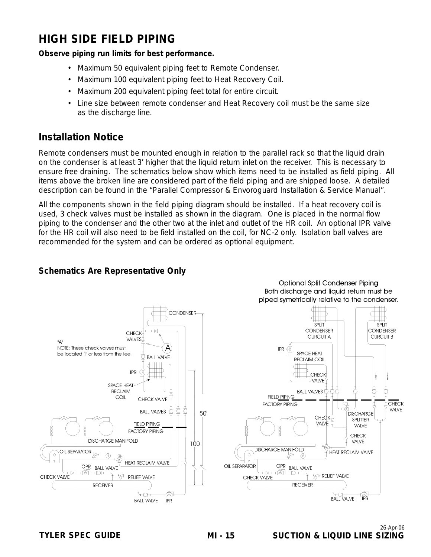# **HIGH SIDE FIELD PIPING**

### **Observe piping run limits for best performance.**

- Maximum 50 equivalent piping feet to Remote Condenser.
- Maximum 100 equivalent piping feet to Heat Recovery Coil.
- Maximum 200 equivalent piping feet total for entire circuit.
- Line size between remote condenser and Heat Recovery coil must be the same size as the discharge line.

### **Installation Notice**

Remote condensers must be mounted enough in relation to the parallel rack so that the liquid drain on the condenser is at least 3' higher that the liquid return inlet on the receiver. This is necessary to ensure free draining. The schematics below show which items need to be installed as field piping. All items above the broken line are considered part of the field piping and are shipped loose. A detailed description can be found in the "Parallel Compressor & Envoroguard Installation & Service Manual".

All the components shown in the field piping diagram should be installed. If a heat recovery coil is used, 3 check valves must be installed as shown in the diagram. One is placed in the normal flow piping to the condenser and the other two at the inlet and outlet of the HR coil. An optional IPR valve for the HR coil will also need to be field installed on the coil, for NC-2 only. Isolation ball valves are recommended for the system and can be ordered as optional equipment.



### **Schematics Are Representative Only**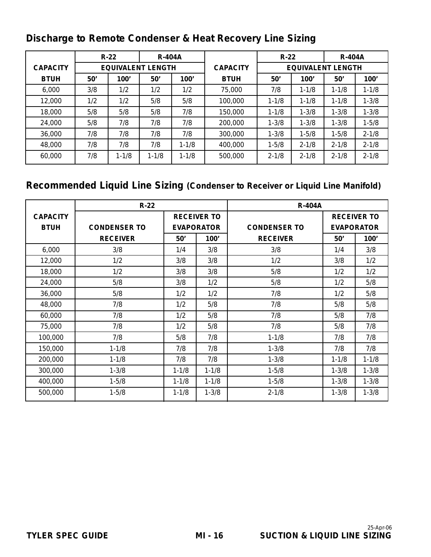# **Discharge to Remote Condenser & Heat Recovery Line Sizing**

|                 |     | $R-22$    | <b>R-404A</b>            |           |                 | $R-22$                   |           | <b>R-404A</b> |           |  |
|-----------------|-----|-----------|--------------------------|-----------|-----------------|--------------------------|-----------|---------------|-----------|--|
| <b>CAPACITY</b> |     |           | <b>EQUIVALENT LENGTH</b> |           | <b>CAPACITY</b> | <b>EQUIVALENT LENGTH</b> |           |               |           |  |
| <b>BTUH</b>     | 50' | 100'      | 50'                      | 100'      | <b>BTUH</b>     | 50'                      | 100'      | 50'           | 100'      |  |
| 6,000           | 3/8 | 1/2       | 1/2                      | 1/2       | 75,000          | 7/8                      | $1 - 1/8$ | $1 - 1/8$     | $1 - 1/8$ |  |
| 12,000          | 1/2 | 1/2       | 5/8                      | 5/8       | 100,000         | $1 - 1/8$                | $1 - 1/8$ | $1 - 1/8$     | $1 - 3/8$ |  |
| 18,000          | 5/8 | 5/8       | 5/8                      | 7/8       | 150,000         | $1 - 1/8$                | $1 - 3/8$ | $1 - 3/8$     | $1 - 3/8$ |  |
| 24,000          | 5/8 | 7/8       | 7/8                      | 7/8       | 200,000         | $1 - 3/8$                | $1 - 3/8$ | $1 - 3/8$     | $1 - 5/8$ |  |
| 36,000          | 7/8 | 7/8       | 7/8                      | 7/8       | 300,000         | $1 - 3/8$                | $1 - 5/8$ | $1 - 5/8$     | $2 - 1/8$ |  |
| 48,000          | 7/8 | 7/8       | 7/8                      | $1 - 1/8$ | 400,000         | $1 - 5/8$                | $2 - 1/8$ | $2 - 1/8$     | $2 - 1/8$ |  |
| 60,000          | 7/8 | $1 - 1/8$ | $1 - 1/8$                | $1 - 1/8$ | 500,000         | $2 - 1/8$                | $2 - 1/8$ | $2 - 1/8$     | $2 - 1/8$ |  |

# **Recommended Liquid Line Sizing (Condenser to Receiver or Liquid Line Manifold)**

|                 | $R-22$              |                   |                    | <b>R-404A</b>       |           |                    |  |  |
|-----------------|---------------------|-------------------|--------------------|---------------------|-----------|--------------------|--|--|
| <b>CAPACITY</b> |                     |                   | <b>RECEIVER TO</b> |                     |           | <b>RECEIVER TO</b> |  |  |
| <b>BTUH</b>     | <b>CONDENSER TO</b> | <b>EVAPORATOR</b> |                    | <b>CONDENSER TO</b> |           | <b>EVAPORATOR</b>  |  |  |
|                 | <b>RECEIVER</b>     | 100'<br>50'       |                    | <b>RECEIVER</b>     | 50'       | 100'               |  |  |
| 6,000           | 3/8                 | 1/4               | 3/8                | 3/8                 | 1/4       | 3/8                |  |  |
| 12,000          | 1/2                 | 3/8               | 3/8                | 1/2                 | 3/8       | 1/2                |  |  |
| 18,000          | 1/2                 | 3/8               | 3/8                | 5/8                 | 1/2       | 1/2                |  |  |
| 24,000          | 5/8                 | 3/8               | 1/2                | 5/8                 | 1/2       | 5/8                |  |  |
| 36,000          | 5/8                 | 1/2               | 1/2                | 7/8                 | 1/2       | 5/8                |  |  |
| 48,000          | 7/8                 | 1/2               | 5/8                | 7/8                 | 5/8       | 5/8                |  |  |
| 60,000          | 7/8                 | 1/2               | 5/8                | 7/8                 | 5/8       | 7/8                |  |  |
| 75,000          | 7/8                 | 1/2               | 5/8                | 7/8                 | 5/8       | 7/8                |  |  |
| 100,000         | 7/8                 | 5/8               | 7/8                | $1 - 1/8$           | 7/8       | 7/8                |  |  |
| 150,000         | $1 - 1/8$           | 7/8               | 7/8                | $1 - 3/8$           | 7/8       | 7/8                |  |  |
| 200,000         | $1 - 1/8$           | 7/8               | 7/8                | $1 - 3/8$           | $1 - 1/8$ | $1 - 1/8$          |  |  |
| 300,000         | $1 - 3/8$           | $1 - 1/8$         | $1 - 1/8$          | $1 - 5/8$           | $1 - 3/8$ | $1 - 3/8$          |  |  |
| 400,000         | $1 - 5/8$           | $1 - 1/8$         | $1 - 1/8$          | $1 - 5/8$           | $1 - 3/8$ | $1 - 3/8$          |  |  |
| 500,000         | $1 - 5/8$           | $1 - 1/8$         | $1 - 3/8$          | $2 - 1/8$           | $1 - 3/8$ | $1 - 3/8$          |  |  |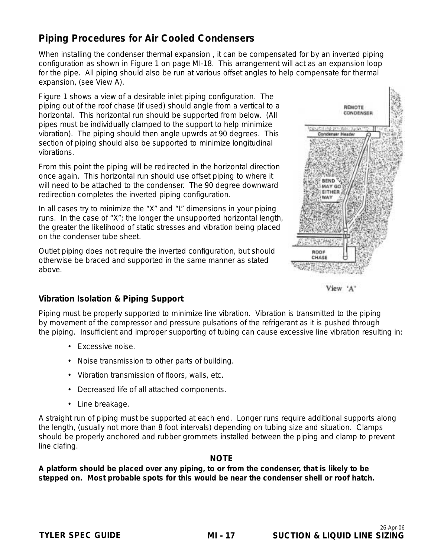### **Piping Procedures for Air Cooled Condensers**

When installing the condenser thermal expansion , it can be compensated for by an inverted piping configuration as shown in Figure 1 on page MI-18. This arrangement will act as an expansion loop for the pipe. All piping should also be run at various offset angles to help compensate for thermal expansion, (see View A).

Figure 1 shows a view of a desirable inlet piping configuration. The piping out of the roof chase (if used) should angle from a vertical to a horizontal. This horizontal run should be supported from below. (All pipes must be individually clamped to the support to help minimize vibration). The piping should then angle upwrds at 90 degrees. This section of piping should also be supported to minimize longitudinal vibrations.

From this point the piping will be redirected in the horizontal direction once again. This horizontal run should use offset piping to where it will need to be attached to the condenser. The 90 degree downward redirection completes the inverted piping configuration.

In all cases try to minimize the "X" and "L" dimensions in your piping runs. In the case of "X"; the longer the unsupported horizontal length, the greater the likelihood of static stresses and vibration being placed on the condenser tube sheet.

Outlet piping does not require the inverted configuration, but should otherwise be braced and supported in the same manner as stated above.





#### **Vibration Isolation & Piping Support**

Piping must be properly supported to minimize line vibration. Vibration is transmitted to the piping by movement of the compressor and pressure pulsations of the refrigerant as it is pushed through the piping. Insufficient and improper supporting of tubing can cause excessive line vibration resulting in:

- Excessive noise.
- Noise transmission to other parts of building.
- Vibration transmission of floors, walls, etc.
- Decreased life of all attached components.
- Line breakage.

A straight run of piping must be supported at each end. Longer runs require additional supports along the length, (usually not more than 8 foot intervals) depending on tubing size and situation. Clamps should be properly anchored and rubber grommets installed between the piping and clamp to prevent line clafing.

#### **NOTE**

**A platform should be placed over any piping, to or from the condenser, that is likely to be stepped on. Most probable spots for this would be near the condenser shell or roof hatch.**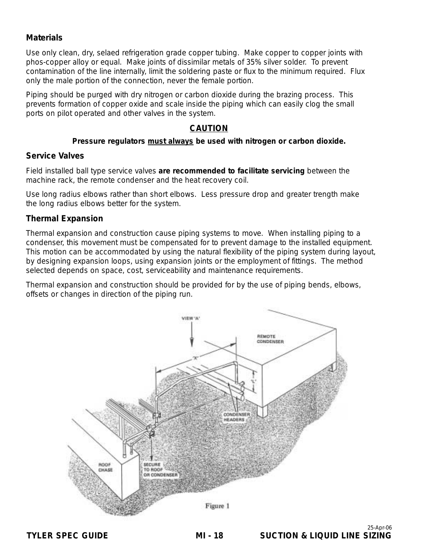#### **Materials**

Use only clean, dry, selaed refrigeration grade copper tubing. Make copper to copper joints with phos-copper alloy or equal. Make joints of dissimilar metals of 35% silver solder. To prevent contamination of the line internally, limit the soldering paste or flux to the minimum required. Flux only the male portion of the connection, never the female portion.

Piping should be purged with dry nitrogen or carbon dioxide during the brazing process. This prevents formation of copper oxide and scale inside the piping which can easily clog the small ports on pilot operated and other valves in the system.

#### **CAUTION**

#### **Pressure regulators must always be used with nitrogen or carbon dioxide.**

#### **Service Valves**

Field installed ball type service valves **are recommended to facilitate servicing** between the machine rack, the remote condenser and the heat recovery coil.

Use long radius elbows rather than short elbows. Less pressure drop and greater trength make the long radius elbows better for the system.

#### **Thermal Expansion**

Thermal expansion and construction cause piping systems to move. When installing piping to a condenser, this movement must be compensated for to prevent damage to the installed equipment. This motion can be accommodated by using the natural flexibility of the piping system during layout, by designing expansion loops, using expansion joints or the employment of fittings. The method selected depends on space, cost, serviceability and maintenance requirements.

Thermal expansion and construction should be provided for by the use of piping bends, elbows, offsets or changes in direction of the piping run.

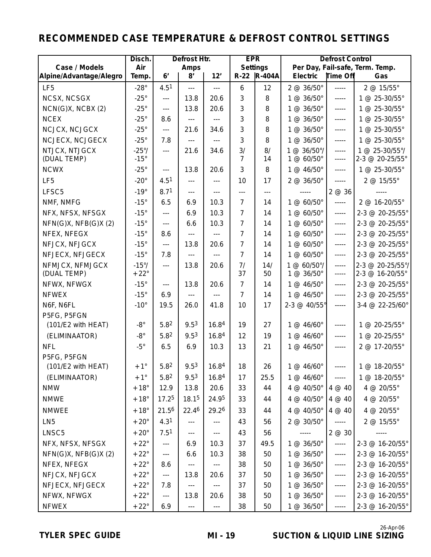# **RECOMMENDED CASE TEMPERATURE & DEFROST CONTROL SETTINGS**

|                                | Disch.                        | Defrost Htr.           |                          | <b>EPR</b>           |                      | <b>Defrost Control</b> |                                    |                  |                                     |
|--------------------------------|-------------------------------|------------------------|--------------------------|----------------------|----------------------|------------------------|------------------------------------|------------------|-------------------------------------|
| Case / Models                  | Air                           |                        | Amps                     |                      |                      | Settings               |                                    |                  | Per Day, Fail-safe, Term. Temp.     |
| Alpine/Advantage/Alegro        | Temp.                         | 6 <sup>'</sup>         | 8'                       | 12'                  |                      | R-22 R-404A            | <b>Electric</b>                    | Time Off         | Gas                                 |
| LF <sub>5</sub>                | $-28^\circ$                   | 4.5 <sup>1</sup>       | $---$                    | $\overline{a}$       | 6                    | 12                     | 2 @ 36/50°                         | -----            | 2 @ 15/55°                          |
| NCSX, NCSGX                    | $-25^\circ$                   | $\overline{a}$         | 13.8                     | 20.6                 | 3                    | 8                      | 1 @ 36/50°                         | -----            | 1 @ 25-30/55°                       |
| $NCN(G)X$ , $NCBX(2)$          | $-25^\circ$                   | $---$                  | 13.8                     | 20.6                 | 3                    | 8                      | 1 @ 36/50°                         | -----            | 1 @ 25-30/55°                       |
| <b>NCEX</b>                    | $-25^\circ$                   | 8.6                    | $\ldots$ .               | $\overline{a}$       | 3                    | 8                      | 1 @ 36/50°                         | $-----$          | 1 @ 25-30/55°                       |
| NCJCX, NCJGCX                  | $-25^\circ$                   | $\overline{a}$         | 21.6                     | 34.6                 | 3                    | 8                      | 1 @ 36/50°                         | -----            | 1 @ 25-30/55°                       |
| NCJECX, NCJGECX                | $-25^\circ$                   | 7.8                    | $- - -$                  | $\overline{a}$       | 3                    | 8                      | 1 @ 36/50°                         | -----            | 1 @ 25-30/55°                       |
| NTJCX, NTJGCX<br>(DUAL TEMP)   | $-25^{\circ}/$<br>$-15^\circ$ | $\overline{a}$         | 21.6                     | 34.6                 | 3/<br>$\overline{7}$ | 8/<br>14               | $1 @ 36/50^{\circ}/$<br>1 @ 60/50° | -----<br>$---$   | 1 @ 25-30/55°/<br>2-3 @ 20-25/55°   |
| <b>NCWX</b>                    | $-25^\circ$                   | $---$                  | 13.8                     | 20.6                 | 3                    | 8                      | 1 @ 46/50°                         | -----            | 1 @ 25-30/55°                       |
| LF <sub>5</sub>                | $-20^\circ$                   | 4.5 <sup>1</sup>       | $---$                    | $---$                | 10                   | 17                     | 2 @ 36/50°                         | $-----$          | 2 @ 15/55°                          |
| LFSC5                          | $-19^\circ$                   | 8.71                   | $---$                    | $---$                | $\overline{a}$       | $- - -$                |                                    | 2 @ 36           |                                     |
| NMF, NMFG                      | $-15^\circ$                   | 6.5                    | 6.9                      | 10.3                 | $\overline{7}$       | 14                     | 1 @ 60/50°                         | $-----$          | 2 @ 16-20/55°                       |
| NFX, NFSX, NFSGX               | $-15^\circ$                   | $- - -$                | 6.9                      | 10.3                 | $\overline{7}$       | 14                     | 1 @ 60/50°                         | -----            | 2-3 @ 20-25/55°                     |
| $NFN(G)X$ , $NFB(G)X(2)$       | $-15^\circ$                   | $---$                  | 6.6                      | 10.3                 | $\overline{7}$       | 14                     | 1 @ 60/50°                         | $---$            | 2-3 @ 20-25/55°                     |
| NFEX, NFEGX                    | $-15^\circ$                   | 8.6                    | $---$                    |                      | $\overline{7}$       | 14                     | 1 @ 60/50°                         | -----            | 2-3 @ 20-25/55°                     |
| NFJCX, NFJGCX                  | $-15^\circ$                   | $---$                  | 13.8                     | 20.6                 | $\overline{7}$       | 14                     | 1 @ 60/50°                         | -----            | 2-3 @ 20-25/55°                     |
| NFJECX, NFJGECX                | $-15^\circ$                   | 7.8                    | $---$                    | $\overline{a}$       | $\overline{7}$       | 14                     | 1 @ 60/50°                         | $- - - - -$      | 2-3 @ 20-25/55°                     |
| NFMJCX, NFMJGCX<br>(DUAL TEMP) | $-15^{\circ}/$<br>$+22^\circ$ | $---$                  | 13.8                     | 20.6                 | 7/<br>37             | 14/<br>50              | 1 @ 60/50°/<br>1 @ 36/50°          | $-----$<br>----- | 2-3 @ 20-25/55°/<br>2-3 @ 16-20/55° |
| NFWX, NFWGX                    | $-15^\circ$                   | $---$                  | 13.8                     | 20.6                 | $\overline{7}$       | 14                     | 1 @ 46/50°                         | $- - - - -$      | 2-3 @ 20-25/55°                     |
| <b>NFWEX</b>                   | $-15^\circ$                   | 6.9                    | $\overline{a}$           | $---$                | $\overline{7}$       | 14                     | 1 @ 46/50°                         | $- - - - -$      | 2-3 @ 20-25/55°                     |
| N6F, N6FL                      | $-10^{\circ}$                 | 19.5                   | 26.0                     | 41.8                 | 10                   | 17                     | 2-3 @ 40/55°                       | $-----$          | 3-4 @ 22-25/60°                     |
| P5FG, P5FGN                    |                               |                        |                          |                      |                      |                        |                                    |                  |                                     |
| (101/E2 with HEAT)             | $-8^{\circ}$                  | 5.8 <sup>2</sup>       | 9.53                     | 16.84                | 19                   | 27                     | 1 @ 46/60°                         | $- - - - -$      | 1 @ 20-25/55°                       |
| (ELIMINAATOR)                  | -8 $^{\circ}$                 | 5.8 <sup>2</sup>       | 9.53                     | 16.84                | 12                   | 19                     | 1 @ 46/60°                         | -----            | 1 @ 20-25/55°                       |
| <b>NFL</b>                     | $-5^{\circ}$                  | 6.5                    | 6.9                      | 10.3                 | 13                   | 21                     | 1 @ 46/50°                         | $- - - - -$      | 2 @ 17-20/55°                       |
| P5FG, P5FGN                    |                               |                        |                          |                      |                      |                        |                                    |                  |                                     |
| (101/E2 with HEAT)             | $+1^{\circ}$                  | 5.8 <sup>2</sup>       | 9.5 <sup>3</sup>         | 16.84                | 18                   | 26                     | 1 @ 46/60°                         | $-----$          | 1 @ 18-20/55°                       |
| (ELIMINAATOR)                  | $+1^{\circ}$                  | 5.82                   | 9.5 <sup>3</sup>         | 16.84                | 17                   | 25.5                   | 1 @ 46/60°                         | $- - - - -$      | 1 @ 18-20/55°                       |
| <b>NMW</b>                     | $+18^\circ$                   | 12.9                   | 13.8                     | 20.6                 | 33                   | 44                     | 4 @ 40/50°                         | 4 @ 40           | 4 @ 20/55°                          |
| <b>NMWE</b>                    | $+18^\circ$                   | 17.25                  | 18.15                    | 24.95                | 33                   | 44                     | 4 @ 40/50°                         | 4@40             | 4 @ 20/55°                          |
| <b>NMWEE</b>                   | $+18^\circ$                   | 21.56                  | 22.46                    | 29.26                | 33                   | 44                     | 4 @ 40/50°                         | 4 @ 40           | 4 @ 20/55°                          |
| LN <sub>5</sub>                | $+20^\circ$                   | 4.3 <sup>1</sup>       | $\scriptstyle\cdots$     | ---                  | 43                   | 56                     | 2 @ 30/50°                         | $-----$          | 2 @ 15/55°                          |
| LNSC5                          | $+20^\circ$                   | 7.5 <sup>1</sup>       | $\scriptstyle\cdots$     | $---$                | 43                   | 56                     | -----                              | 2 @ 30           |                                     |
| NFX, NFSX, NFSGX               | $+22^{\circ}$                 | ---                    | 6.9                      | 10.3                 | 37                   | 49.5                   | 1 @ 36/50°                         | $-----$          | 2-3 @ 16-20/55°                     |
| $NFN(G)X$ , $NFB(G)X(2)$       | $+22^{\circ}$                 | $\cdots$               | 6.6                      | 10.3                 | 38                   | 50                     | 1 @ 36/50°                         | $-----$          | 2-3 @ 16-20/55°                     |
| NFEX, NFEGX                    | $+22^{\circ}$                 | 8.6                    | ---                      | $\cdots$             | 38                   | 50                     | 1 @ 36/50°                         | $-----$          | 2-3 @ 16-20/55°                     |
| NFJCX, NFJGCX                  | $+22^{\circ}$                 | $\scriptstyle\cdots$ . | 13.8                     | 20.6                 | 37                   | 50                     | 1 @ 36/50°                         | $-----$          | 2-3 @ 16-20/55°                     |
| NFJECX, NFJGECX                | $+22^{\circ}$                 | 7.8                    | $\scriptstyle{\cdots}$ . | $\cdots$             | 37                   | 50                     | 1 @ 36/50°                         | $-----$          | 2-3 @ 16-20/55°                     |
| NFWX, NFWGX                    | $+22^{\circ}$                 | $\scriptstyle\cdots$   | 13.8                     | 20.6                 | 38                   | 50                     | 1 @ 36/50°                         | $-----$          | 2-3 @ 16-20/55°                     |
| <b>NFWEX</b>                   | $+22^{\circ}$                 | 6.9                    | $\scriptstyle\cdots$     | $\scriptstyle\cdots$ | 38                   | 50                     | 1 @ 36/50°                         | $-----$          | 2-3 @ 16-20/55°                     |

**MI - 19 TYLER SPEC GUIDE SUCTION & LIQUID LINE SIZING** 26-Apr-06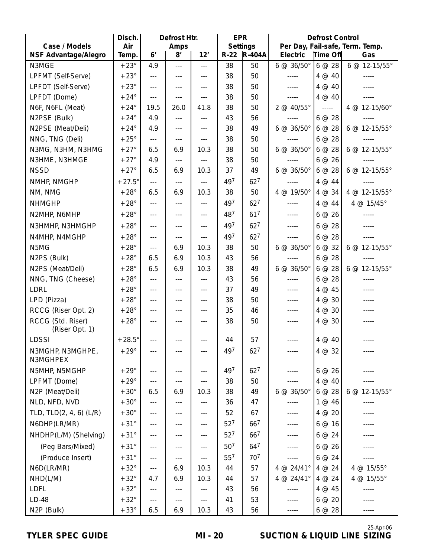|                                     | Disch.        | Defrost Htr.   |         | <b>EPR</b>     |                 | <b>Defrost Control</b> |            |                          |                                 |
|-------------------------------------|---------------|----------------|---------|----------------|-----------------|------------------------|------------|--------------------------|---------------------------------|
| Case / Models                       | Air           |                | Amps    |                |                 | Settings               |            |                          | Per Day, Fail-safe, Term. Temp. |
| <b>NSF Advantage/Alegro</b>         | Temp.         | 6 <sup>'</sup> | 8'      | 12'            |                 | R-22  R-404A           | Electric   | Time Off                 | Gas                             |
| N3MGE                               | $+23^\circ$   | 4.9            | $- - -$ | $\overline{a}$ | 38              | 50                     | 6 @ 36/50° | 6@28                     | 6 @ 12-15/55°                   |
| LPFMT (Self-Serve)                  | $+23^\circ$   | $---$          | $---$   | $---$          | 38              | 50                     | -----      | 4@40                     |                                 |
| LPFDT (Self-Serve)                  | $+23^\circ$   | $\ldots$ .     | $---$   | $- - -$        | 38              | 50                     | -----      | 4@40                     |                                 |
| LPFDT (Dome)                        | $+24^{\circ}$ | $---$          | $---$   | $---$          | 38              | 50                     | -----      | 4@40                     |                                 |
| N6F, N6FL (Meat)                    | $+24^\circ$   | 19.5           | 26.0    | 41.8           | 38              | 50                     | 2 @ 40/55° | $\overline{\phantom{a}}$ | 4 @ 12-15/60°                   |
| N2PSE (Bulk)                        | $+24^{\circ}$ | 4.9            | $---$   | $- - -$        | 43              | 56                     | -----      | 6@28                     | $- - - - -$                     |
| N2PSE (Meat/Deli)                   | $+24^\circ$   | 4.9            | $---$   | $- - -$        | 38              | 49                     | 6 @ 36/50° | 6@28                     | $6 @ 12-15/55°$                 |
| NNG, TNG (Deli)                     | $+25^{\circ}$ | $---$          | $---$   | $---$          | 38              | 50                     | -----      | 6@28                     |                                 |
| N3MG, N3HM, N3HMG                   | $+27^\circ$   | 6.5            | 6.9     | 10.3           | 38              | 50                     | 6 @ 36/50° | 6@28                     | 6 @ 12-15/55°                   |
| N3HME, N3HMGE                       | $+27^\circ$   | 4.9            | $---$   | $---$          | 38              | 50                     | -----      | 6@26                     | $- - - - -$                     |
| <b>NSSD</b>                         | $+27^\circ$   | 6.5            | 6.9     | 10.3           | 37              | 49                     | 6 @ 36/50° | 6@28                     | $6 @ 12-15/55°$                 |
| NMHP, NMGHP                         | $+27.5^\circ$ | $---$          | $---$   | $---$          | 497             | 62 <sup>7</sup>        | -----      | 4@44                     |                                 |
| NM, NMG                             | $+28^\circ$   | 6.5            | 6.9     | 10.3           | 38              | 50                     | 4 @ 19/50° | 4 @ 34                   | 4 @ 12-15/55°                   |
| <b>NHMGHP</b>                       | $+28^\circ$   | $---$          | $---$   | $---$          | 497             | 62 <sup>7</sup>        | -----      | 4 @ 44                   | 4 @ 15/45°                      |
| N2MHP, N6MHP                        | $+28^\circ$   | $\overline{a}$ | $---$   | $---$          | 487             | 617                    | -----      | 6@26                     |                                 |
| N3HMHP, N3HMGHP                     | $+28^\circ$   | $\overline{a}$ | ---     | $---$          | 497             | 62 <sup>7</sup>        | -----      | 6@28                     |                                 |
| N4MHP, N4MGHP                       | $+28^\circ$   | $---$          | ---     | $---$          | 497             | 62 <sup>7</sup>        | -----      | 6@28                     | -----                           |
| N5MG                                | $+28^\circ$   | $---$          | 6.9     | 10.3           | 38              | 50                     | 6 @ 36/50° | 6@32                     | 6 @ 12-15/55°                   |
| N2PS (Bulk)                         | $+28^\circ$   | 6.5            | 6.9     | 10.3           | 43              | 56                     | -----      | 6@28                     |                                 |
| N2PS (Meat/Deli)                    | $+28^{\circ}$ | 6.5            | 6.9     | 10.3           | 38              | 49                     | 6 @ 36/50° | 6@28                     | 6 @ 12-15/55°                   |
| NNG, TNG (Cheese)                   | $+28^\circ$   | $---$          | $- - -$ | $---$          | 43              | 56                     | -----      | 6@28                     |                                 |
| <b>LDRL</b>                         | $+28^\circ$   | $---$          | $---$   | $---$          | 37              | 49                     | -----      | 4 @ 45                   |                                 |
| LPD (Pizza)                         | $+28^{\circ}$ | $\overline{a}$ | $---$   | $---$          | 38              | 50                     | -----      | 4 @ 30                   |                                 |
| RCCG (Riser Opt. 2)                 | $+28^\circ$   | $\overline{a}$ | $---$   | $---$          | 35              | 46                     | -----      | 4 @ 30                   |                                 |
| RCCG (Std. Riser)<br>(Riser Opt. 1) | $+28^\circ$   | $---$          | $---$   | $---$          | 38              | 50                     | -----      | 4 @ 30                   |                                 |
| <b>LDSSI</b>                        | $+28.5^\circ$ | $---$          | ---     | $- - -$        | 44              | 57                     | -----      | 4 @ 40                   |                                 |
| N3MGHP, N3MGHPE,                    | $+29^\circ$   | ---            |         | $---$          | 497             | 62 <sup>7</sup>        | -----      | $4 \omega 32$            | -----                           |
| N3MGHPEX                            |               |                |         |                |                 |                        |            |                          |                                 |
| N5MHP, N5MGHP                       | $+29^\circ$   | $---$          | $---$   | $---$          | 497             | $62^7$                 | -----      | 6@26                     |                                 |
| LPFMT (Dome)                        | $+29^\circ$   | $---$          | ---     | $---$          | 38              | 50                     | -----      | 4 @ 40                   |                                 |
| N2P (Meat/Deli)                     | $+30^{\circ}$ | 6.5            | 6.9     | 10.3           | 38              | 49                     | 6 @ 36/50° | 6@28                     | 6 @ 12-15/55°                   |
| NLD, NFD, NVD                       | $+30^\circ$   | $---$          | $---$   | $---$          | 36              | 47                     | -----      | 1 @ 46                   | -----                           |
| TLD, TLD(2, 4, 6) (L/R)             | $+30^{\circ}$ | ---            | ---     | $- - -$        | 52              | 67                     | -----      | 4 @ 20                   |                                 |
| N6DHP(LR/MR)                        | $+31^{\circ}$ | ---            | ---     | $---$          | 52 <sup>7</sup> | 667                    | -----      | 6@16                     | -----                           |
| NHDHP(L/M) (Shelving)               | $+31^{\circ}$ | $---$          | ---     | $\cdots$       | 52 <sup>7</sup> | 667                    | -----      | 6@24                     | -----                           |
| (Peg Bars/Mixed)                    | $+31^{\circ}$ | ---            | $---$   | $---$          | 50 <sup>7</sup> | 647                    | -----      | 6@26                     | -----                           |
| (Produce Insert)                    | $+31^{\circ}$ | ---            | ---     | $---$          | 55 <sup>7</sup> | 707                    | -----      | 6@24                     | -----                           |
| N6D(LR/MR)                          | $+32^{\circ}$ | $---$          | 6.9     | 10.3           | 44              | 57                     | 4 @ 24/41° | 4 @ 24                   | 4 @ 15/55°                      |
| NHD(L/M)                            | $+32^{\circ}$ | 4.7            | 6.9     | 10.3           | 44              | 57                     | 4 @ 24/41° | 4 @ 24                   | 4 @ 15/55°                      |
| LDFL                                | $+32^{\circ}$ | $---$          | ---     | ---            | 43              | 56                     | -----      | 4 @ 45                   |                                 |
| $LD-48$                             | $+32^\circ$   | $---$          | ---     | $\cdots$       | 41              | 53                     | -----      | 6@20                     | -----                           |
| N2P (Bulk)                          | $+33^\circ$   | 6.5            | 6.9     | 10.3           | 43              | 56                     | -----      | 6@28                     | -----                           |

#### **TYLER SPEC GUIDE SUCTION & LIQUID LINE SIZING**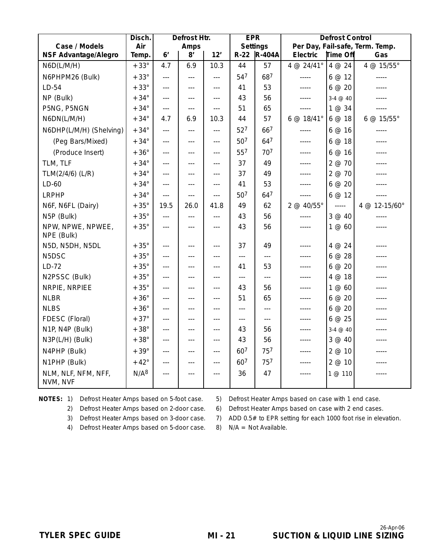|                                 | Disch.           |                | Defrost Htr.         |                | <b>EPR</b>      |                |             | <b>Defrost Control</b> |                                 |
|---------------------------------|------------------|----------------|----------------------|----------------|-----------------|----------------|-------------|------------------------|---------------------------------|
| Case / Models                   | Air              |                | Amps                 |                |                 | Settings       |             |                        | Per Day, Fail-safe, Term. Temp. |
| <b>NSF Advantage/Alegro</b>     | Temp.            | 6 <sup>'</sup> | 8'                   | 12'            |                 | R-22 R-404A    | Electric    | Time Off               | Gas                             |
| N6D(L/M/H)                      | $+33^\circ$      | 4.7            | 6.9                  | 10.3           | 44              | 57             | 4 @ 24/41°  | 4 @ 24                 | 4 @ 15/55°                      |
| N6PHPM26 (Bulk)                 | $+33^\circ$      | $\overline{a}$ | $\overline{a}$       | $-$ --         | 547             | 687            | -----       | 6@12                   | -----                           |
| $LD-54$                         | $+33^\circ$      | $- - -$        | $-$                  | $-$            | 41              | 53             | -----       | 6@20                   |                                 |
| NP (Bulk)                       | $+34^{\circ}$    | $- - -$        | $---$                | $---$          | 43              | 56             | $- - - - -$ | $3-4 \ @ 40$           | -----                           |
| P5NG, P5NGN                     | $+34^{\circ}$    | $---$          | $---$                | $---$          | 51              | 65             | -----       | 1 @ 34                 | -----                           |
| N6DN(L/M/H)                     | $+34^{\circ}$    | 4.7            | 6.9                  | 10.3           | 44              | 57             | 6 @ 18/41°  | 6@18                   | 6 @ 15/55°                      |
| N6DHP(L/M/H) (Shelving)         | $+34^{\circ}$    | $\overline{a}$ | $\scriptstyle\cdots$ | $---$          | 52 <sup>7</sup> | 667            | -----       | 6@16                   | -----                           |
| (Peg Bars/Mixed)                | $+34^{\circ}$    | $- - -$        | $---$                | $---$          | 50 <sup>7</sup> | 647            | -----       | 6@18                   | -----                           |
| (Produce Insert)                | $+36^\circ$      | $- - -$        | $- - -$              | $- - -$        | 557             | 707            | -----       | 6@16                   | -----                           |
| TLM, TLF                        | $+34^{\circ}$    | $\overline{a}$ | $---$                | $---$          | 37              | 49             | $- - - - -$ | 2 @ 70                 | -----                           |
| TLM(2/4/6) (L/R)                | $+34^{\circ}$    | $- - -$        | $---$                | $---$          | 37              | 49             | -----       | 2 @ 70                 | -----                           |
| $LD-60$                         | $+34^{\circ}$    | $---$          | $---$                | $---$          | 41              | 53             | -----       | 6@20                   | -----                           |
| <b>LRPHP</b>                    | $+34^{\circ}$    | $\overline{a}$ | $\overline{a}$       | $\overline{a}$ | 50 <sup>7</sup> | 647            | -----       | 6@12                   | $- - - - -$                     |
| N6F, N6FL (Dairy)               | $+35^{\circ}$    | 19.5           | 26.0                 | 41.8           | 49              | 62             | 2 @ 40/55°  | $- - - - -$            | 4 @ 12-15/60°                   |
| N5P (Bulk)                      | $+35^{\circ}$    | $\ldots$       | $---$                | $- - -$        | 43              | 56             | -----       | 3 @ 40                 | -----                           |
| NPW, NPWE, NPWEE,<br>NPE (Bulk) | $+35^\circ$      | $- - -$        | $---$                | $---$          | 43              | 56             | -----       | 1 @ 60                 | -----                           |
| N5D, N5DH, N5DL                 | $+35^\circ$      | $- - -$        | ---                  | $---$          | 37              | 49             | -----       | 4 @ 24                 |                                 |
| N <sub>5</sub> D <sub>SC</sub>  | $+35^{\circ}$    | $\overline{a}$ | $---$                | $---$          | $\overline{a}$  | $\overline{a}$ | -----       | 6@28                   |                                 |
| $LD-72$                         | $+35^{\circ}$    | $---$          | $---$                | $---$          | 41              | 53             | -----       | 6@20                   |                                 |
| N2PSSC (Bulk)                   | $+35^{\circ}$    | $---$          | $- - -$              | $---$          | $---$           | $---$          | -----       | 4 @ 18                 | -----                           |
| NRPIE, NRPIEE                   | $+35^\circ$      | $---$          | $---$                | $---$          | 43              | 56             | -----       | 1@60                   | -----                           |
| <b>NLBR</b>                     | $+36^\circ$      | $---$          | $---$                | $---$          | 51              | 65             | -----       | 6@20                   | -----                           |
| <b>NLBS</b>                     | $+36^{\circ}$    | $- - -$        | $---$                | $- - -$        | $\overline{a}$  | $- - -$        | -----       | 6@20                   | -----                           |
| FDESC (Floral)                  | $+37^\circ$      | $- - -$        | $---$                | $---$          | $---$           | $\overline{a}$ | -----       | 6@25                   | -----                           |
| N1P, N4P (Bulk)                 | $+38^\circ$      | $- - -$        | $---$                | $---$          | 43              | 56             | -----       | $3-4 \ @ 40$           | -----                           |
| N3P(L/H) (Bulk)                 | $+38^\circ$      | $---$          | $---$                | $---$          | 43              | 56             | -----       | 3 @ 40                 | $- - - - -$                     |
| N4PHP (Bulk)                    | $+39^\circ$      | $- - -$        | $---$                | $---$          | 607             | 757            | -----       | 2 @ 10                 |                                 |
| N1PHP (Bulk)                    | $+42^{\circ}$    | $\overline{a}$ | $---$                | $---$          | 607             | 757            | -----       | 2 @ 10                 | -----                           |
| NLM, NLF, NFM, NFF,<br>NVM, NVF | N/A <sup>8</sup> | $---$          | $---$                | $---$          | 36              | 47             | -----       | 1 @ 110                | -----                           |

NOTES: 1) Defrost Heater Amps based on 5-foot case. 5) Defrost Heater Amps based on case with 1 end case.

2) Defrost Heater Amps based on 2-door case. 6) Defrost Heater Amps based on case with 2 end cases.

3) Defrost Heater Amps based on 3-door case. 7) ADD 0.5# to EPR setting for each 1000 foot rise in elevation.

- 4) Defrost Heater Amps based on 5-door case. 8) N/A = Not Available.
-